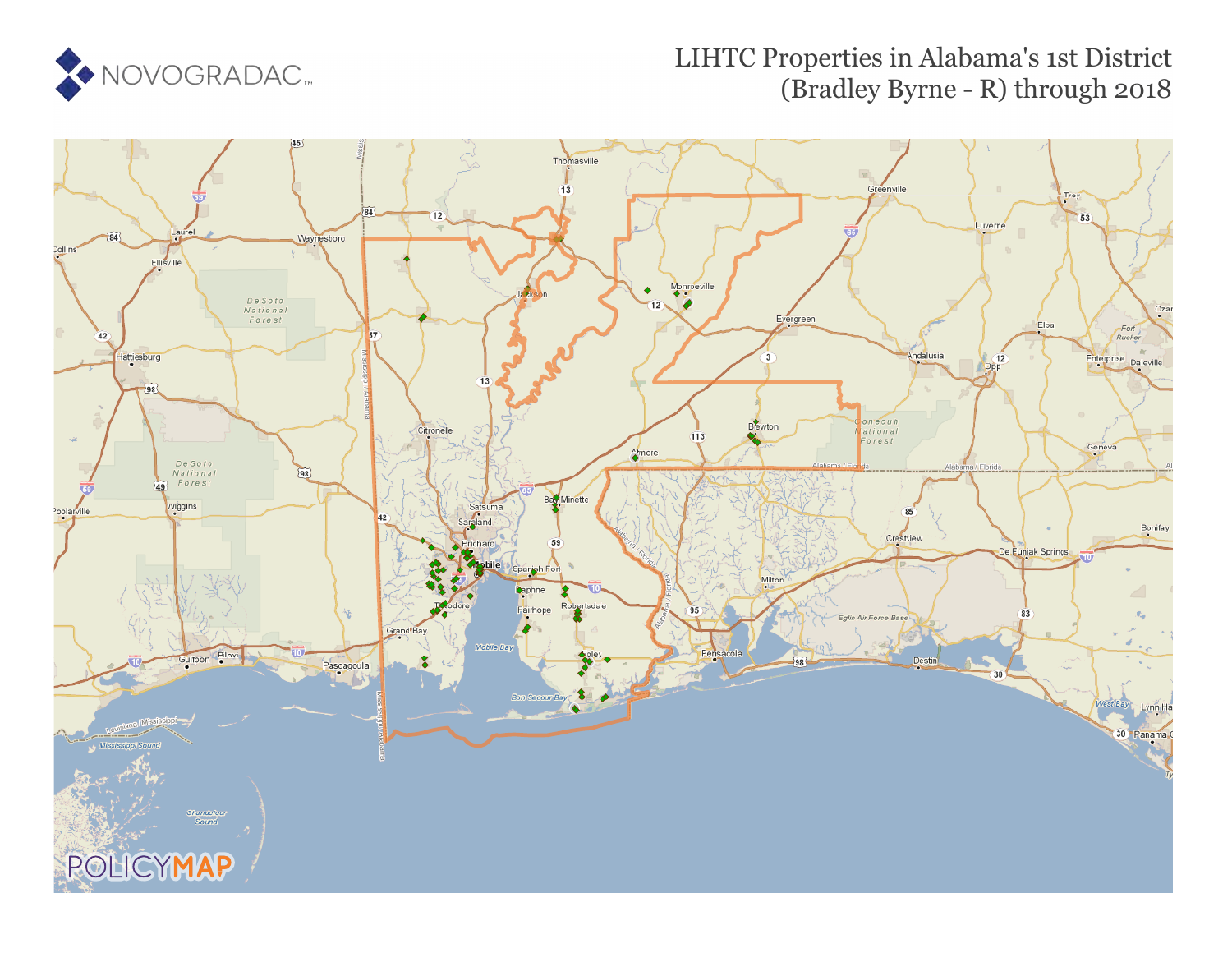

# LIHTC Properties in Alabama's 1st District (Bradley Byrne - R) [thr](https://www.policymap.com/our-data-directory.html#HUD%20LIHTC)ough 2018

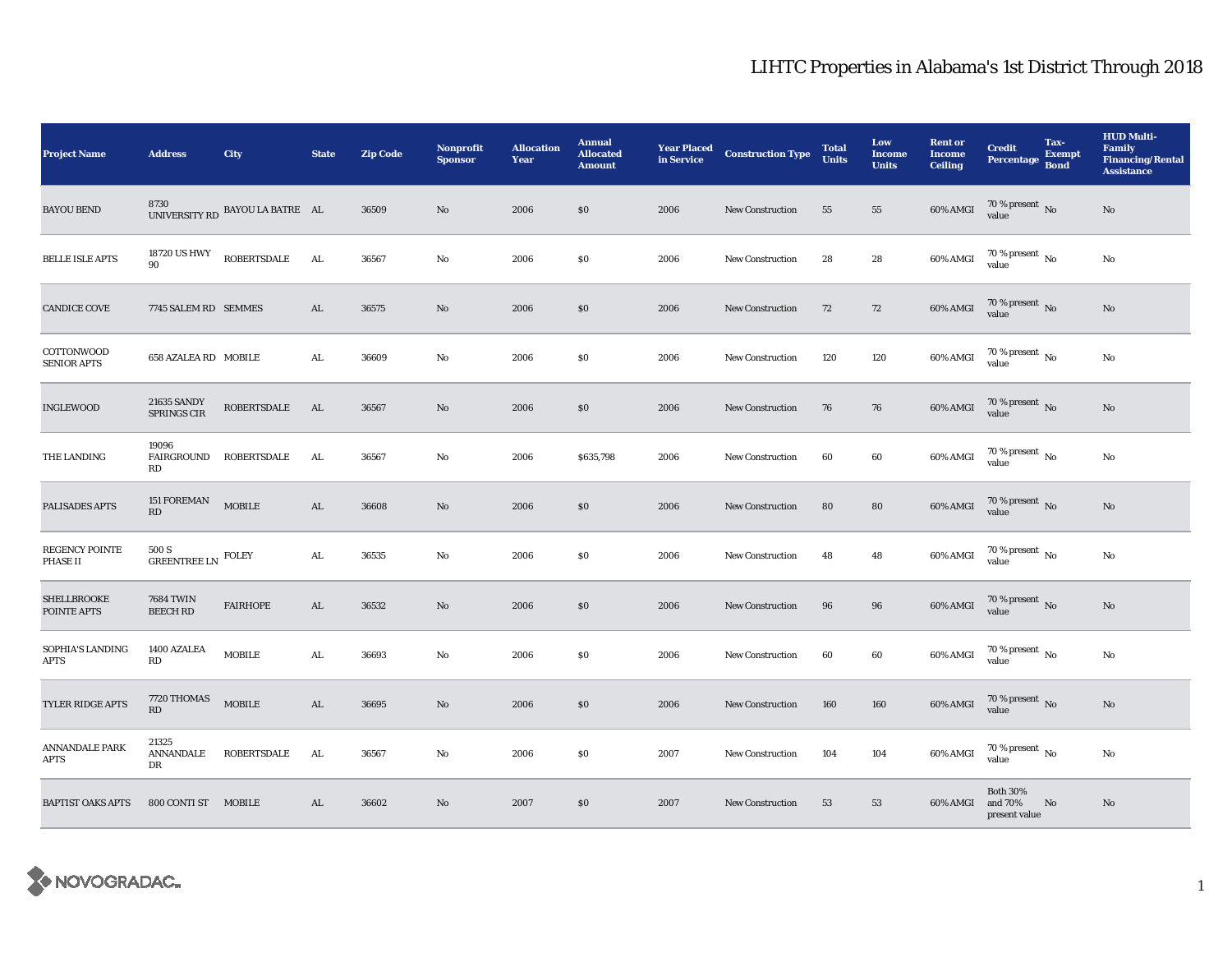| <b>Project Name</b>                  | <b>Address</b>                                      | City                            | <b>State</b> | <b>Zip Code</b> | <b>Nonprofit</b><br><b>Sponsor</b> | <b>Allocation</b><br><b>Year</b> | <b>Annual</b><br><b>Allocated</b><br><b>Amount</b> | <b>Year Placed<br/>in Service</b> | <b>Construction Type</b> | <b>Total</b><br><b>Units</b> | Low<br><b>Income</b><br><b>Units</b> | <b>Rent or</b><br><b>Income</b><br><b>Ceiling</b> | <b>Credit</b><br>Percentage Bond            | Tax-<br><b>Exempt</b> | <b>HUD Multi-</b><br>Family<br><b>Financing/Rental</b><br><b>Assistance</b> |
|--------------------------------------|-----------------------------------------------------|---------------------------------|--------------|-----------------|------------------------------------|----------------------------------|----------------------------------------------------|-----------------------------------|--------------------------|------------------------------|--------------------------------------|---------------------------------------------------|---------------------------------------------|-----------------------|-----------------------------------------------------------------------------|
| <b>BAYOU BEND</b>                    |                                                     | UNIVERSITY RD BAYOU LA BATRE AL |              | 36509           | No                                 | 2006                             | \$0                                                | 2006                              | New Construction         | 55                           | 55                                   | 60% AMGI                                          | $70\,\%$ present $\,$ No value              |                       | No                                                                          |
| <b>BELLE ISLE APTS</b>               | 18720 US HWY<br>90                                  | ROBERTSDALE                     | AL.          | 36567           | No                                 | 2006                             | \$0                                                | 2006                              | <b>New Construction</b>  | 28                           | 28                                   | 60% AMGI                                          | $70$ % present $_{\, \rm No}$<br>value      |                       | No                                                                          |
| <b>CANDICE COVE</b>                  | 7745 SALEM RD SEMMES                                |                                 | AL           | 36575           | No                                 | 2006                             | \$0\$                                              | 2006                              | <b>New Construction</b>  | 72                           | 72                                   | 60% AMGI                                          | $70\,\%$ present $\,$ No value              |                       | No                                                                          |
| COTTONWOOD<br><b>SENIOR APTS</b>     | 658 AZALEA RD MOBILE                                |                                 | AL.          | 36609           | No                                 | 2006                             | \$0                                                | 2006                              | <b>New Construction</b>  | 120                          | 120                                  | 60% AMGI                                          | $70\,\%$ present $\,$ No $\,$<br>value      |                       | No                                                                          |
| <b>INGLEWOOD</b>                     | 21635 SANDY<br>SPRINGS CIR                          | ROBERTSDALE                     | AL           | 36567           | No                                 | 2006                             | \$0                                                | 2006                              | New Construction         | 76                           | ${\bf 76}$                           | <b>60% AMGI</b>                                   | $70\,\%$ present $\,$ No value              |                       | $\mathbf{N}\mathbf{o}$                                                      |
| THE LANDING                          | 19096<br>RD                                         | FAIRGROUND ROBERTSDALE          | AL           | 36567           | No                                 | 2006                             | \$635,798                                          | 2006                              | New Construction         | 60                           | 60                                   | 60% AMGI                                          | $70\,\%$ present $\,$ No value              |                       | No                                                                          |
| PALISADES APTS                       | 151 FOREMAN<br>RD                                   | $\operatorname{MOBILE}$         | AL           | 36608           | $\mathbf{No}$                      | 2006                             | $\$0$                                              | 2006                              | New Construction         | 80                           | 80                                   | 60% AMGI                                          | $70\,\%$ present $\,$ No value              |                       | $\rm No$                                                                    |
| REGENCY POINTE<br>PHASE II           | 500 S<br>${\tt GREENTREE}$ ${\tt LN}$ ${\tt FOLEY}$ |                                 | AL.          | 36535           | No                                 | 2006                             | $\$0$                                              | 2006                              | New Construction         | 48                           | 48                                   | 60% AMGI                                          | $70\,\%$ present $\,$ No $\,$<br>value      |                       | No                                                                          |
| <b>SHELLBROOKE</b><br>POINTE APTS    | <b>7684 TWIN</b><br><b>BEECH RD</b>                 | <b>FAIRHOPE</b>                 | AL.          | 36532           | No                                 | 2006                             | \$0                                                | 2006                              | New Construction         | 96                           | 96                                   | 60% AMGI                                          | $70\,\%$ present $\,$ No value              |                       | $\mathbf{N}\mathbf{o}$                                                      |
| SOPHIA'S LANDING<br>APTS             | 1400 AZALEA<br>RD                                   | <b>MOBILE</b>                   | AL.          | 36693           | No                                 | 2006                             | \$0                                                | 2006                              | <b>New Construction</b>  | 60                           | 60                                   | 60% AMGI                                          | $70\%$ present $\overline{N_0}$<br>value    |                       | No                                                                          |
| TYLER RIDGE APTS                     | $7720\,\mbox{THOMAS}$<br>RD                         | <b>MOBILE</b>                   | AL           | 36695           | No                                 | 2006                             | $\$0$                                              | 2006                              | New Construction         | 160                          | 160                                  | 60% AMGI                                          | $70$ % present $\,$ No $\,$ value           |                       | $\mathbf{No}$                                                               |
| <b>ANNANDALE PARK</b><br><b>APTS</b> | 21325<br>ANNANDALE<br>DR                            | <b>ROBERTSDALE</b>              | AL           | 36567           | No                                 | 2006                             | \$0                                                | 2007                              | <b>New Construction</b>  | 104                          | 104                                  | 60% AMGI                                          | $70\,\%$ present $\,$ No value              |                       | No                                                                          |
| <b>BAPTIST OAKS APTS</b>             | 800 CONTI ST MOBILE                                 |                                 | AL           | 36602           | $\mathbf{N}\mathbf{o}$             | 2007                             | \$0                                                | 2007                              | <b>New Construction</b>  | 53                           | 53                                   | 60% AMGI                                          | <b>Both 30%</b><br>and 70%<br>present value | No                    | No                                                                          |

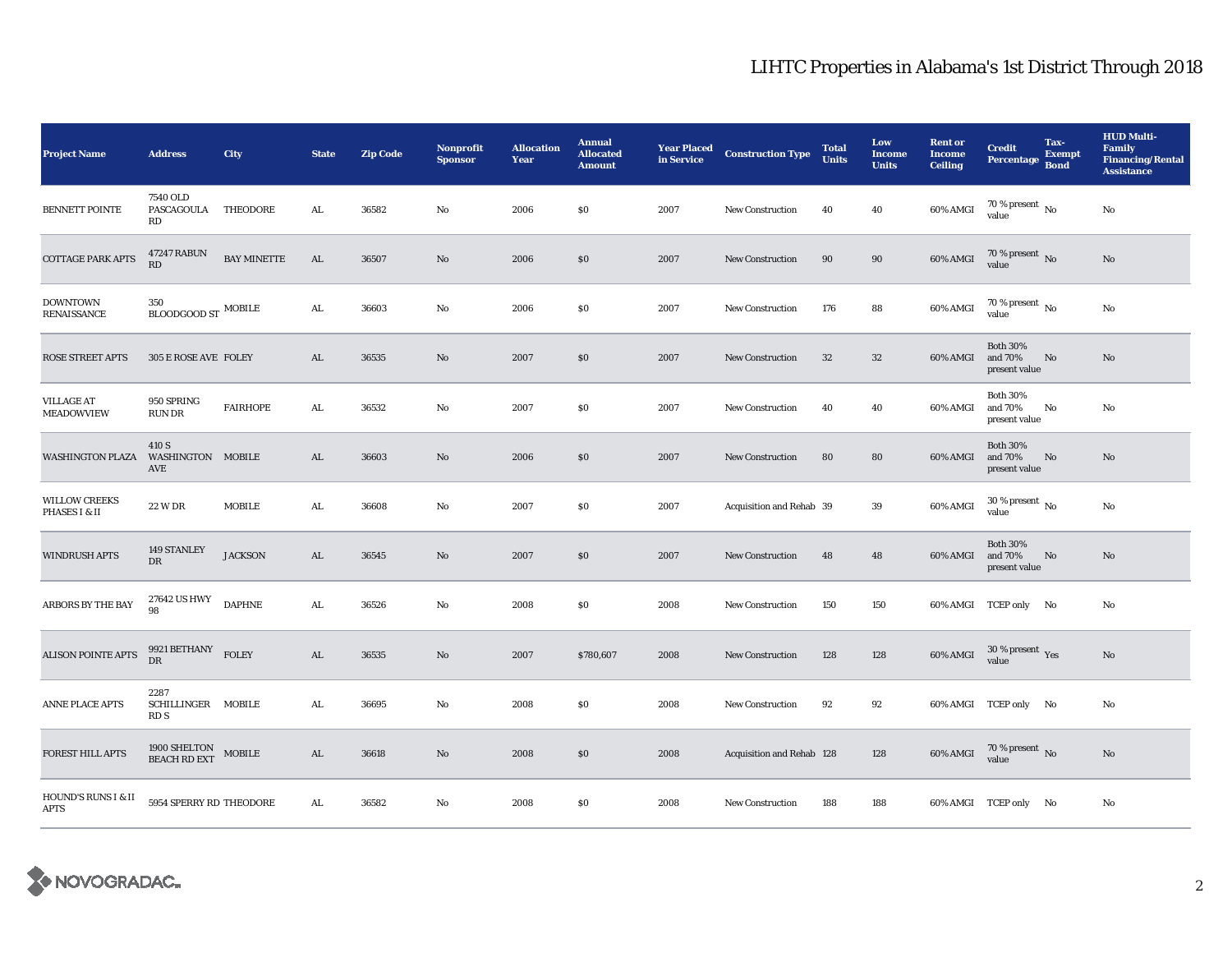| <b>Project Name</b>                    | <b>Address</b>                                         | <b>City</b>        | <b>State</b> | <b>Zip Code</b> | <b>Nonprofit</b><br><b>Sponsor</b> | <b>Allocation</b><br><b>Year</b> | <b>Annual</b><br><b>Allocated</b><br><b>Amount</b> | <b>Year Placed</b><br>in Service | <b>Construction Type</b>  | <b>Total</b><br><b>Units</b> | Low<br><b>Income</b><br><b>Units</b> | <b>Rent or</b><br><b>Income</b><br><b>Ceiling</b> | <b>Credit</b><br>Percentage Bond               | Tax-<br><b>Exempt</b> | <b>HUD Multi-</b><br>Family<br><b>Financing/Rental</b><br><b>Assistance</b> |
|----------------------------------------|--------------------------------------------------------|--------------------|--------------|-----------------|------------------------------------|----------------------------------|----------------------------------------------------|----------------------------------|---------------------------|------------------------------|--------------------------------------|---------------------------------------------------|------------------------------------------------|-----------------------|-----------------------------------------------------------------------------|
| <b>BENNETT POINTE</b>                  | 7540 OLD<br>PASCAGOULA THEODORE<br>RD                  |                    | ${\bf AL}$   | 36582           | No                                 | 2006                             | \$0                                                | 2007                             | New Construction          | 40                           | 40                                   | 60% AMGI                                          | $70\,\%$ present $\,$ No value                 |                       | No                                                                          |
| <b>COTTAGE PARK APTS</b>               | <b>47247 RABUN</b><br>RD                               | <b>BAY MINETTE</b> | AL           | 36507           | $\mathbf{N}\mathbf{o}$             | 2006                             | \$0                                                | 2007                             | <b>New Construction</b>   | 90                           | $90\,$                               | 60% AMGI                                          | $70\,\%$ present $\,$ No value                 |                       | $\rm No$                                                                    |
| <b>DOWNTOWN</b><br>RENAISSANCE         | 350<br>$\,$ BLOODGOOD ST $\,$ MOBILE                   |                    | AL           | 36603           | No                                 | 2006                             | \$0                                                | 2007                             | <b>New Construction</b>   | 176                          | 88                                   | $60\%$ AMGI                                       | 70 % present $\,$ No $\,$<br>value             |                       | $\mathbf{N}\mathbf{o}$                                                      |
| <b>ROSE STREET APTS</b>                | 305 E ROSE AVE FOLEY                                   |                    | AL           | 36535           | $\rm No$                           | 2007                             | $\$0$                                              | 2007                             | New Construction          | 32                           | $32\,$                               | 60% AMGI                                          | <b>Both 30%</b><br>and $70\%$<br>present value | $\rm No$              | $\mathbf{N}\mathbf{o}$                                                      |
| <b>VILLAGE AT</b><br><b>MEADOWVIEW</b> | 950 SPRING<br>RUN DR                                   | <b>FAIRHOPE</b>    | AL           | 36532           | No                                 | 2007                             | \$0                                                | 2007                             | <b>New Construction</b>   | 40                           | 40                                   | 60% AMGI                                          | <b>Both 30%</b><br>and 70%<br>present value    | No                    | No                                                                          |
| <b>WASHINGTON PLAZA</b>                | 410 S<br>WASHINGTON MOBILE<br>AVE                      |                    | AL           | 36603           | No                                 | 2006                             | \$0                                                | 2007                             | New Construction          | 80                           | 80                                   | 60% AMGI                                          | <b>Both 30%</b><br>and 70%<br>present value    | No                    | No                                                                          |
| <b>WILLOW CREEKS</b><br>PHASES I & II  | <b>22 W DR</b>                                         | <b>MOBILE</b>      | ${\bf AL}$   | 36608           | No                                 | 2007                             | \$0                                                | 2007                             | Acquisition and Rehab 39  |                              | 39                                   | 60% AMGI                                          | $30$ % present $\,$ No $\,$<br>value           |                       | No                                                                          |
| <b>WINDRUSH APTS</b>                   | 149 STANLEY<br>DR                                      | <b>JACKSON</b>     | AL           | 36545           | $\mathbf{No}$                      | 2007                             | $\$0$                                              | 2007                             | <b>New Construction</b>   | 48                           | 48                                   | 60% AMGI                                          | <b>Both 30%</b><br>and 70%<br>present value    | No                    | $\mathbf{N}\mathbf{o}$                                                      |
| ARBORS BY THE BAY                      | 27642 US HWY<br>98                                     | <b>DAPHNE</b>      | ${\bf AL}$   | 36526           | No                                 | 2008                             | \$0                                                | 2008                             | <b>New Construction</b>   | 150                          | 150                                  |                                                   | 60% AMGI TCEP only No                          |                       | No                                                                          |
| <b>ALISON POINTE APTS</b>              | 9921 BETHANY $$\rm{FOLEY}$$<br><b>DR</b>               |                    | AL           | 36535           | No                                 | 2007                             | \$780,607                                          | 2008                             | <b>New Construction</b>   | 128                          | 128                                  | 60% AMGI                                          | $30\,\%$ present $\,$ Yes value                |                       | $\mathbf{No}$                                                               |
| <b>ANNE PLACE APTS</b>                 | 2287<br>SCHILLINGER MOBILE<br>RD S                     |                    | ${\bf AL}$   | 36695           | No                                 | 2008                             | $\$0$                                              | 2008                             | <b>New Construction</b>   | 92                           | 92                                   |                                                   | 60% AMGI TCEP only No                          |                       | No                                                                          |
| FOREST HILL APTS                       | $1900\text{ SHELTON} \quad \text{MOBILE}$ BEACH RD EXT |                    | AL           | 36618           | $\mathbf{N}\mathbf{o}$             | 2008                             | \$0                                                | 2008                             | Acquisition and Rehab 128 |                              | 128                                  |                                                   | 60% AMGI 70 % present No                       |                       | $\mathbf{No}$                                                               |
| HOUND'S RUNS I & II<br><b>APTS</b>     | 5954 SPERRY RD THEODORE                                |                    | AL           | 36582           | No                                 | 2008                             | S <sub>0</sub>                                     | 2008                             | <b>New Construction</b>   | 188                          | 188                                  |                                                   | 60% AMGI TCEP only No                          |                       | No                                                                          |

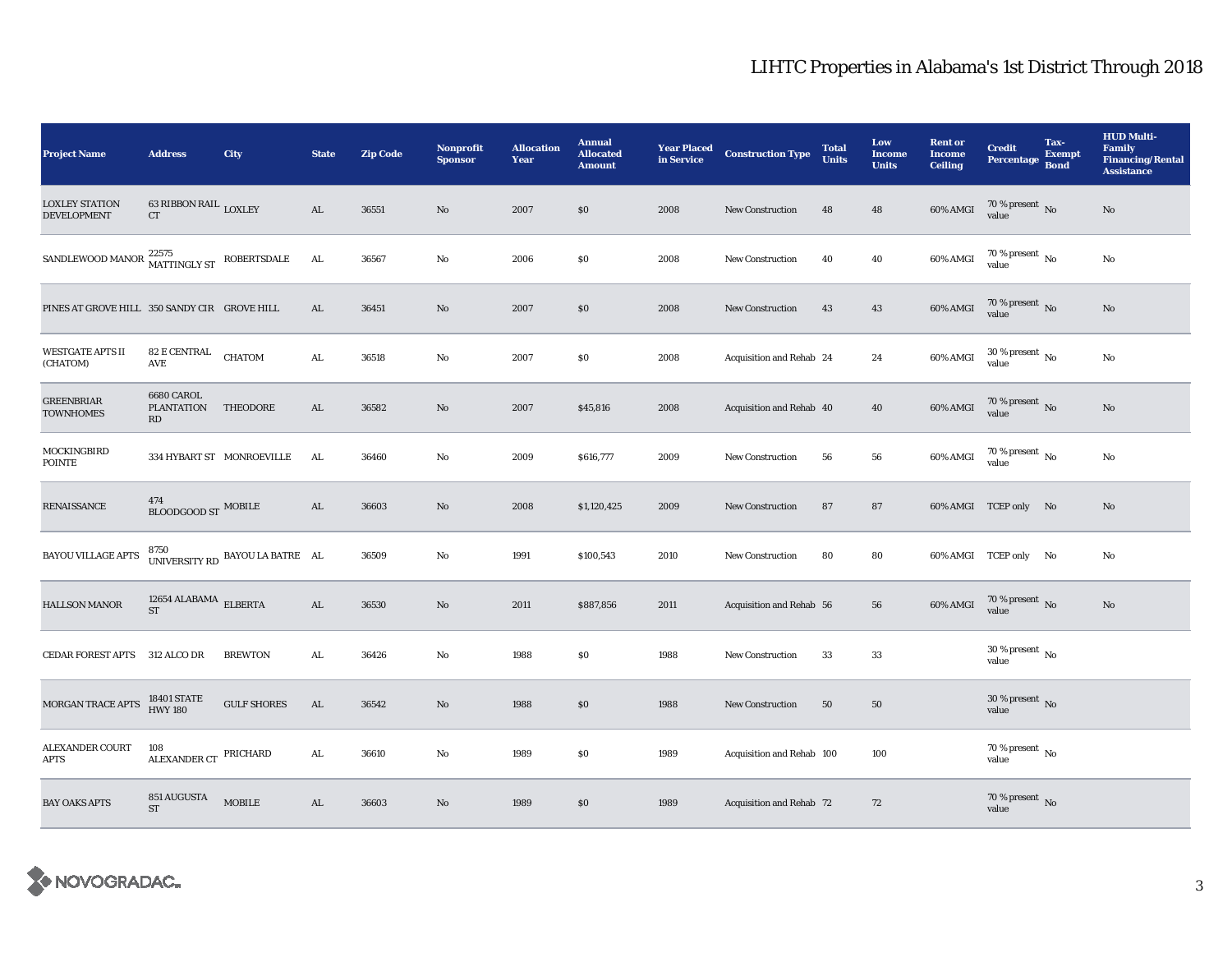| <b>Project Name</b>                                                                                                                                             | <b>Address</b>                              | City                            | <b>State</b> | <b>Zip Code</b> | Nonprofit<br><b>Sponsor</b> | <b>Allocation</b><br>Year | <b>Annual</b><br><b>Allocated</b><br><b>Amount</b> | <b>Year Placed</b><br>in Service | <b>Construction Type</b>  | <b>Total</b><br><b>Units</b> | Low<br>Income<br><b>Units</b> | <b>Rent or</b><br><b>Income</b><br><b>Ceiling</b> | <b>Credit</b><br>Percentage            | Tax-<br><b>Exempt</b><br><b>Bond</b> | <b>HUD Multi-</b><br>Family<br><b>Financing/Rental</b><br><b>Assistance</b> |
|-----------------------------------------------------------------------------------------------------------------------------------------------------------------|---------------------------------------------|---------------------------------|--------------|-----------------|-----------------------------|---------------------------|----------------------------------------------------|----------------------------------|---------------------------|------------------------------|-------------------------------|---------------------------------------------------|----------------------------------------|--------------------------------------|-----------------------------------------------------------------------------|
| <b>LOXLEY STATION</b><br><b>DEVELOPMENT</b>                                                                                                                     | 63 RIBBON RAIL LOXLEY<br>CT                 |                                 | AL           | 36551           | No                          | 2007                      | \$0                                                | 2008                             | New Construction          | 48                           | 48                            | 60% AMGI                                          | $70\,\%$ present $\,$ No value         |                                      | No                                                                          |
| $\begin{minipage}{.4\linewidth} \textbf{SANDLEWOOD MANOR} \begin{tabular}{l} \bf{22575} \\ \bf{MATTINGLY ST} \end{tabular} \textbf{ROBERTSDALE} \end{minipage}$ |                                             |                                 | AL.          | 36567           | No                          | 2006                      | $\$0$                                              | 2008                             | <b>New Construction</b>   | 40                           | 40                            | 60% AMGI                                          | $70\,\%$ present $_{\rm{No}}$          |                                      | $\mathbf{No}$                                                               |
| PINES AT GROVE HILL 350 SANDY CIR GROVE HILL                                                                                                                    |                                             |                                 | ${\rm AL}$   | 36451           | $\mathbf{N}\mathbf{o}$      | 2007                      | \$0                                                | 2008                             | New Construction          | 43                           | 43                            | 60% AMGI                                          | $70\,\%$ present $\,$ No value         |                                      | No                                                                          |
| <b>WESTGATE APTS II</b><br>(CHATOM)                                                                                                                             | $82\to$ CENTRAL<br>AVE                      | <b>CHATOM</b>                   | ${\bf AL}$   | 36518           | No                          | 2007                      | $\$0$                                              | 2008                             | Acquisition and Rehab 24  |                              | 24                            | 60% AMGI                                          | $30\,\%$ present $\,$ No value         |                                      | No                                                                          |
| <b>GREENBRIAR</b><br><b>TOWNHOMES</b>                                                                                                                           | 6680 CAROL<br><b>PLANTATION</b><br>RD       | THEODORE                        | AL           | 36582           | No                          | 2007                      | \$45,816                                           | 2008                             | Acquisition and Rehab 40  |                              | 40                            | 60% AMGI                                          | $70\,\%$ present $\,$ No value         |                                      | No                                                                          |
| MOCKINGBIRD<br><b>POINTE</b>                                                                                                                                    | 334 HYBART ST MONROEVILLE                   |                                 | AL           | 36460           | No                          | 2009                      | \$616,777                                          | 2009                             | New Construction          | 56                           | 56                            | 60% AMGI                                          | $70\,\%$ present $\,$ No value         |                                      | No                                                                          |
| RENAISSANCE                                                                                                                                                     | 474<br>$\,$ BLOODGOOD ST $\,$ MOBILE        |                                 | AL           | 36603           | No                          | 2008                      | \$1,120,425                                        | 2009                             | New Construction          | 87                           | 87                            |                                                   | 60% AMGI TCEP only No                  |                                      | No                                                                          |
| <b>BAYOU VILLAGE APTS</b>                                                                                                                                       |                                             | UNIVERSITY RD BAYOU LA BATRE AL |              | 36509           | No                          | 1991                      | \$100,543                                          | 2010                             | New Construction          | 80                           | 80                            |                                                   | 60% AMGI TCEP only No                  |                                      | No                                                                          |
| <b>HALLSON MANOR</b>                                                                                                                                            | 12654 ALABAMA $\rm \, ELEERTA$<br><b>ST</b> |                                 | ${\rm AL}$   | 36530           | No                          | 2011                      | \$887,856                                          | 2011                             | Acquisition and Rehab 56  |                              | 56                            | 60% AMGI                                          | $70\,\%$ present $\,$ No value         |                                      | No                                                                          |
| <b>CEDAR FOREST APTS</b>                                                                                                                                        | 312 ALCO DR                                 | <b>BREWTON</b>                  | AL           | 36426           | No                          | 1988                      | $\$0$                                              | 1988                             | <b>New Construction</b>   | 33                           | 33                            |                                                   | $30\,\%$ present $\,$ No $\,$<br>value |                                      |                                                                             |
| MORGAN TRACE APTS                                                                                                                                               | 18401 STATE<br>HWY 180                      | <b>GULF SHORES</b>              | AL           | 36542           | $\mathbf{N}\mathbf{o}$      | 1988                      | \$0                                                | 1988                             | <b>New Construction</b>   | 50                           | 50                            |                                                   | 30 % present $\,$ No $\,$<br>value     |                                      |                                                                             |
| <b>ALEXANDER COURT</b><br><b>APTS</b>                                                                                                                           | 108<br>$\,$ ALEXANDER CT $\,$ PRICHARD      |                                 | ${\bf AL}$   | 36610           | No                          | 1989                      | $\$0$                                              | 1989                             | Acquisition and Rehab 100 |                              | 100                           |                                                   | 70 % present $\,$ No $\,$<br>value     |                                      |                                                                             |
| <b>BAY OAKS APTS</b>                                                                                                                                            | 851 AUGUSTA<br><b>ST</b>                    | <b>MOBILE</b>                   | AL           | 36603           | No                          | 1989                      | \$0\$                                              | 1989                             | Acquisition and Rehab 72  |                              | 72                            |                                                   | 70 % present $\overline{N_0}$<br>value |                                      |                                                                             |

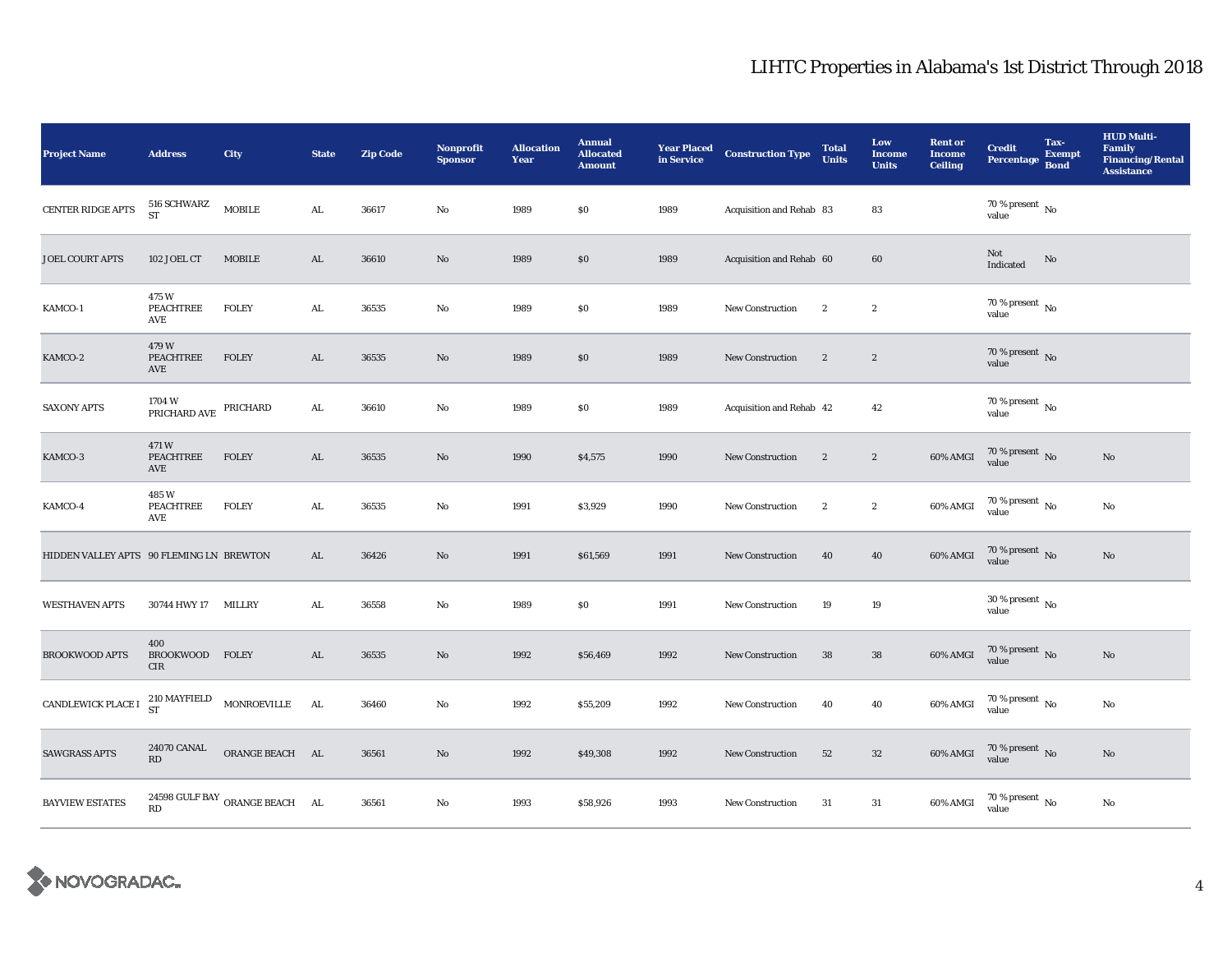| <b>Project Name</b>                      | <b>Address</b>                       | <b>City</b>                    | <b>State</b>  | <b>Zip Code</b> | Nonprofit<br><b>Sponsor</b> | <b>Allocation</b><br>Year | <b>Annual</b><br><b>Allocated</b><br><b>Amount</b> | <b>Year Placed<br/>in Service</b> | <b>Construction Type</b> | <b>Total</b><br><b>Units</b> | Low<br><b>Income</b><br><b>Units</b> | <b>Rent or</b><br><b>Income</b><br><b>Ceiling</b> | <b>Credit</b><br><b>Percentage</b>       | Tax-<br><b>Exempt</b><br><b>Bond</b> | <b>HUD Multi-</b><br>Family<br><b>Financing/Rental</b><br><b>Assistance</b> |
|------------------------------------------|--------------------------------------|--------------------------------|---------------|-----------------|-----------------------------|---------------------------|----------------------------------------------------|-----------------------------------|--------------------------|------------------------------|--------------------------------------|---------------------------------------------------|------------------------------------------|--------------------------------------|-----------------------------------------------------------------------------|
| <b>CENTER RIDGE APTS</b>                 | 516 SCHWARZ<br>${\rm ST}$            | <b>MOBILE</b>                  | AL            | 36617           | No                          | 1989                      | \$0                                                | 1989                              | Acquisition and Rehab 83 |                              | 83                                   |                                                   | 70 % present $\hbox{~No}$<br>value       |                                      |                                                                             |
| JOEL COURT APTS                          | 102 JOEL CT                          | <b>MOBILE</b>                  | AL            | 36610           | No                          | 1989                      | \$0                                                | 1989                              | Acquisition and Rehab 60 |                              | 60                                   |                                                   | Not<br>Indicated                         | No                                   |                                                                             |
| KAMCO-1                                  | 475W<br><b>PEACHTREE</b><br>AVE      | <b>FOLEY</b>                   | AL            | 36535           | No                          | 1989                      | \$0                                                | 1989                              | New Construction         | $\boldsymbol{2}$             | $\boldsymbol{2}$                     |                                                   | 70 % present $\,$ No $\,$<br>value       |                                      |                                                                             |
| KAMCO-2                                  | 479W<br>PEACHTREE<br>AVE             | <b>FOLEY</b>                   | AL            | 36535           | No                          | 1989                      | \$0                                                | 1989                              | New Construction         | $\boldsymbol{2}$             | $\boldsymbol{2}$                     |                                                   | $70\,\%$ present $\,$ No value           |                                      |                                                                             |
| <b>SAXONY APTS</b>                       | $1704\ \rm{W}$ PRICHARD AVE PRICHARD |                                | AL            | 36610           | No                          | 1989                      | \$0                                                | 1989                              | Acquisition and Rehab 42 |                              | 42                                   |                                                   | $70\%$ present $\overline{N_0}$<br>value |                                      |                                                                             |
| KAMCO-3                                  | 471W<br>PEACHTREE<br>AVE             | <b>FOLEY</b>                   | AL            | 36535           | No                          | 1990                      | \$4,575                                            | 1990                              | New Construction         | $\boldsymbol{2}$             | $\boldsymbol{2}$                     | 60% AMGI                                          | $70\,\%$ present $\,$ No value           |                                      | $\mathbf{No}$                                                               |
| KAMCO-4                                  | 485 W<br>PEACHTREE<br>AVE            | <b>FOLEY</b>                   | $\mathbf{AL}$ | 36535           | No                          | 1991                      | \$3,929                                            | 1990                              | New Construction         | $\boldsymbol{2}$             | $\boldsymbol{2}$                     | 60% AMGI                                          | $70\,\%$ present $\,$ No value           |                                      | No                                                                          |
| HIDDEN VALLEY APTS 90 FLEMING LN BREWTON |                                      |                                | AL            | 36426           | No                          | 1991                      | \$61,569                                           | 1991                              | <b>New Construction</b>  | 40                           | 40                                   | 60% AMGI                                          | $70\,\%$ present $\,$ No value           |                                      | $\mathbf{No}$                                                               |
| <b>WESTHAVEN APTS</b>                    | 30744 HWY 17 MILLRY                  |                                | AL            | 36558           | No                          | 1989                      | S <sub>0</sub>                                     | 1991                              | New Construction         | 19                           | 19                                   |                                                   | 30 % present $\,$ No $\,$<br>value       |                                      |                                                                             |
| <b>BROOKWOOD APTS</b>                    | 400<br>BROOKWOOD<br><b>CIR</b>       | <b>FOLEY</b>                   | AL            | 36535           | No                          | 1992                      | \$56,469                                           | 1992                              | New Construction         | 38                           | 38                                   | 60% AMGI                                          | $70\,\%$ present $\,$ No value           |                                      | $\mathbf{No}$                                                               |
| CANDLEWICK PLACE I                       | 210 MAYFIELD<br>ST                   | MONROEVILLE                    | AL            | 36460           | No                          | 1992                      | \$55,209                                           | 1992                              | <b>New Construction</b>  | 40                           | 40                                   | 60% AMGI                                          | $70\,\%$ present $\,$ No value           |                                      | No                                                                          |
| <b>SAWGRASS APTS</b>                     | 24070 CANAL<br>RD                    | ORANGE BEACH AL                |               | 36561           | No                          | 1992                      | \$49,308                                           | 1992                              | <b>New Construction</b>  | 52                           | $32\phantom{.0}$                     | 60% AMGI                                          | $70\,\%$ present $\,$ No value           |                                      | $\mathbf{N}\mathbf{o}$                                                      |
| <b>BAYVIEW ESTATES</b>                   | RD                                   | 24598 GULF BAY ORANGE BEACH AL |               | 36561           | No                          | 1993                      | \$58,926                                           | 1993                              | <b>New Construction</b>  | 31                           | 31                                   | 60% AMGI                                          | 70 % present $\,$ No $\,$<br>value       |                                      | No                                                                          |

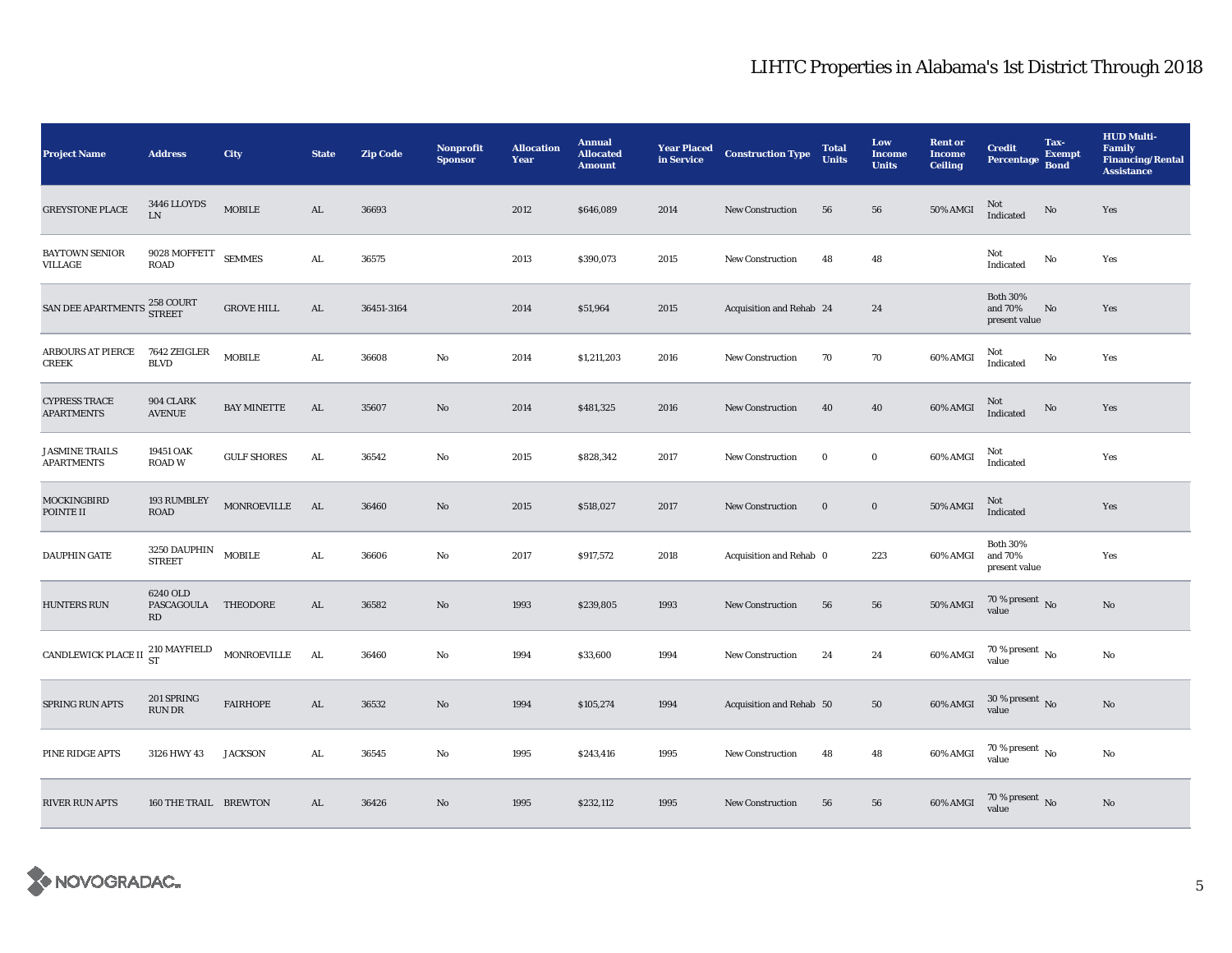| <b>Project Name</b>                        | <b>Address</b>                        | City                    | <b>State</b> | <b>Zip Code</b> | <b>Nonprofit</b><br><b>Sponsor</b> | <b>Allocation</b><br>Year | <b>Annual</b><br><b>Allocated</b><br><b>Amount</b> | <b>Year Placed</b><br>in Service | <b>Construction Type</b> | <b>Total</b><br><b>Units</b> | Low<br><b>Income</b><br><b>Units</b> | <b>Rent or</b><br><b>Income</b><br><b>Ceiling</b> | <b>Credit</b><br>Percentage Bond            | Tax-<br><b>Exempt</b> | <b>HUD Multi-</b><br><b>Family</b><br><b>Financing/Rental</b><br><b>Assistance</b> |
|--------------------------------------------|---------------------------------------|-------------------------|--------------|-----------------|------------------------------------|---------------------------|----------------------------------------------------|----------------------------------|--------------------------|------------------------------|--------------------------------------|---------------------------------------------------|---------------------------------------------|-----------------------|------------------------------------------------------------------------------------|
| <b>GREYSTONE PLACE</b>                     | <b>3446 LLOYDS</b><br><b>LN</b>       | $\operatorname{MOBILE}$ | ${\rm AL}$   | 36693           |                                    | 2012                      | \$646,089                                          | 2014                             | <b>New Construction</b>  | 56                           | 56                                   | 50% AMGI                                          | Not<br>Indicated                            | $\rm No$              | Yes                                                                                |
| <b>BAYTOWN SENIOR</b><br>VILLAGE           | 9028 MOFFETT<br><b>ROAD</b>           | <b>SEMMES</b>           | AL           | 36575           |                                    | 2013                      | \$390,073                                          | 2015                             | <b>New Construction</b>  | 48                           | 48                                   |                                                   | Not<br>Indicated                            | No                    | Yes                                                                                |
| SAN DEE APARTMENTS 258 COURT               |                                       | <b>GROVE HILL</b>       | AL           | 36451-3164      |                                    | 2014                      | \$51,964                                           | 2015                             | Acquisition and Rehab 24 |                              | 24                                   |                                                   | <b>Both 30%</b><br>and 70%<br>present value | No                    | Yes                                                                                |
| <b>ARBOURS AT PIERCE</b><br><b>CREEK</b>   | 7642 ZEIGLER<br><b>BLVD</b>           | <b>MOBILE</b>           | ${\bf AL}$   | 36608           | $\mathbf{No}$                      | 2014                      | \$1,211,203                                        | 2016                             | <b>New Construction</b>  | 70                           | 70                                   | 60% AMGI                                          | Not<br>Indicated                            | No                    | Yes                                                                                |
| <b>CYPRESS TRACE</b><br><b>APARTMENTS</b>  | 904 CLARK<br><b>AVENUE</b>            | <b>BAY MINETTE</b>      | AL           | 35607           | No                                 | 2014                      | \$481,325                                          | 2016                             | <b>New Construction</b>  | 40                           | 40                                   | 60% AMGI                                          | Not<br>Indicated                            | $\rm No$              | Yes                                                                                |
| <b>JASMINE TRAILS</b><br><b>APARTMENTS</b> | 19451 OAK<br><b>ROAD W</b>            | <b>GULF SHORES</b>      | AL           | 36542           | No                                 | 2015                      | \$828,342                                          | 2017                             | New Construction         | $\bf{0}$                     | $\bf{0}$                             | 60% AMGI                                          | Not<br>Indicated                            |                       | Yes                                                                                |
| MOCKINGBIRD<br>POINTE II                   | 193 RUMBLEY<br><b>ROAD</b>            | MONROEVILLE             | AL           | 36460           | No                                 | 2015                      | \$518,027                                          | 2017                             | <b>New Construction</b>  | $\bf{0}$                     | $\boldsymbol{0}$                     | 50% AMGI                                          | Not<br>Indicated                            |                       | Yes                                                                                |
| <b>DAUPHIN GATE</b>                        | 3250 DAUPHIN<br><b>STREET</b>         | <b>MOBILE</b>           | ${\bf AL}$   | 36606           | No                                 | 2017                      | \$917,572                                          | 2018                             | Acquisition and Rehab 0  |                              | 223                                  | 60% AMGI                                          | <b>Both 30%</b><br>and 70%<br>present value |                       | Yes                                                                                |
| <b>HUNTERS RUN</b>                         | 6240 OLD<br>PASCAGOULA THEODORE<br>RD |                         | ${\rm AL}$   | 36582           | No                                 | 1993                      | \$239,805                                          | 1993                             | <b>New Construction</b>  | 56                           | 56                                   | <b>50% AMGI</b>                                   | $70\,\%$ present $\,$ No value              |                       | No                                                                                 |
| CANDLEWICK PLACE II $^{210}_{ST}$ MAYFIELD |                                       | MONROEVILLE             | AL           | 36460           | No                                 | 1994                      | \$33,600                                           | 1994                             | New Construction         | 24                           | 24                                   | 60% AMGI                                          | $70\,\%$ present $\,$ No value              |                       | No                                                                                 |
| <b>SPRING RUN APTS</b>                     | 201 SPRING<br><b>RUN DR</b>           | <b>FAIRHOPE</b>         | ${\rm AL}$   | 36532           | No                                 | 1994                      | \$105,274                                          | 1994                             | Acquisition and Rehab 50 |                              | 50                                   | 60% AMGI                                          | $30$ % present $\,$ No $\,$<br>value        |                       | $\mathbf{N}\mathbf{o}$                                                             |
| PINE RIDGE APTS                            | 3126 HWY 43                           | <b>JACKSON</b>          | AL.          | 36545           | No                                 | 1995                      | \$243,416                                          | 1995                             | <b>New Construction</b>  | 48                           | 48                                   | $60\%$ AMGI                                       | $70\,\%$ present $\,$ No value              |                       | No                                                                                 |
| <b>RIVER RUN APTS</b>                      | 160 THE TRAIL BREWTON                 |                         | AL           | 36426           | No                                 | 1995                      | \$232,112                                          | 1995                             | <b>New Construction</b>  | 56                           | 56                                   | 60% AMGI                                          | $70\,\%$ present $\,$ No value              |                       | No                                                                                 |

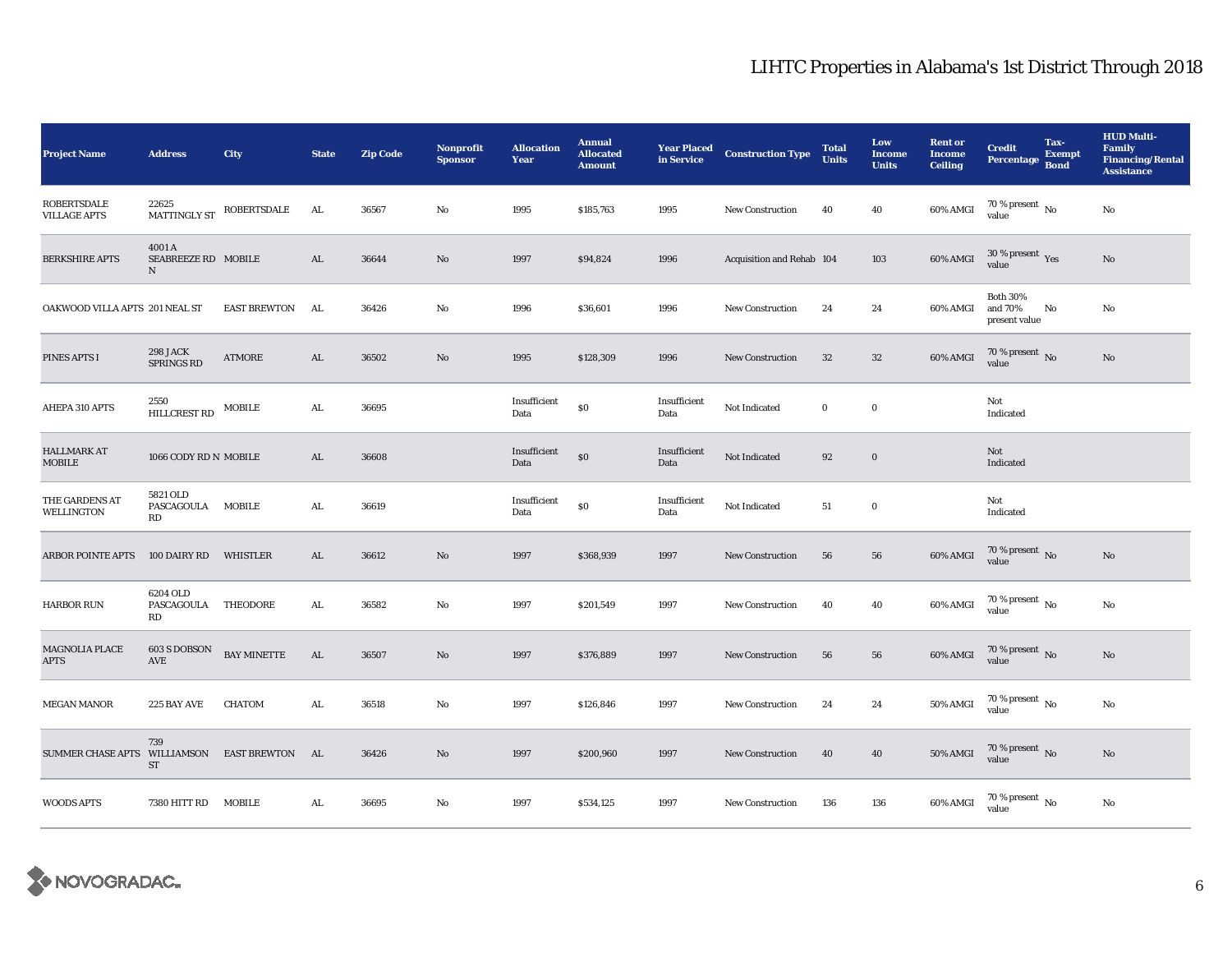| <b>Project Name</b>                          | <b>Address</b>                               | City                | <b>State</b>  | <b>Zip Code</b> | Nonprofit<br><b>Sponsor</b> | <b>Allocation</b><br>Year | <b>Annual</b><br><b>Allocated</b><br><b>Amount</b> | <b>Year Placed</b><br>in Service | <b>Construction Type</b>  | <b>Total</b><br><b>Units</b> | Low<br><b>Income</b><br><b>Units</b> | <b>Rent or</b><br><b>Income</b><br><b>Ceiling</b> | <b>Credit</b><br>Percentage Bond            | Tax-<br><b>Exempt</b> | <b>HUD Multi-</b><br>Family<br><b>Financing/Rental</b><br><b>Assistance</b> |
|----------------------------------------------|----------------------------------------------|---------------------|---------------|-----------------|-----------------------------|---------------------------|----------------------------------------------------|----------------------------------|---------------------------|------------------------------|--------------------------------------|---------------------------------------------------|---------------------------------------------|-----------------------|-----------------------------------------------------------------------------|
| <b>ROBERTSDALE</b><br><b>VILLAGE APTS</b>    | 22625<br><b>MATTINGLY ST</b>                 | ROBERTSDALE         | AL            | 36567           | No                          | 1995                      | \$185,763                                          | 1995                             | New Construction          | 40                           | 40                                   | 60% AMGI                                          | $70\,\%$ present $\,$ No value              |                       | No                                                                          |
| <b>BERKSHIRE APTS</b>                        | 4001 A<br>SEABREEZE RD MOBILE<br>$\mathbf N$ |                     | AL            | 36644           | No                          | 1997                      | \$94,824                                           | 1996                             | Acquisition and Rehab 104 |                              | 103                                  | 60% AMGI                                          | $30\,\%$ present $\,$ Yes value             |                       | $\rm No$                                                                    |
| OAKWOOD VILLA APTS 201 NEAL ST               |                                              | <b>EAST BREWTON</b> | AL            | 36426           | No                          | 1996                      | \$36,601                                           | 1996                             | <b>New Construction</b>   | 24                           | 24                                   | 60% AMGI                                          | <b>Both 30%</b><br>and 70%<br>present value | No                    | No                                                                          |
| PINES APTS I                                 | <b>298 JACK</b><br>SPRINGS RD                | ATMORE              | $\mathbf{AL}$ | 36502           | No                          | 1995                      | \$128,309                                          | 1996                             | New Construction          | $32\,$                       | $32\,$                               | $60\%$ AMGI                                       | $70\,\%$ present $\,$ No value              |                       | $\rm No$                                                                    |
| AHEPA 310 APTS                               | 2550<br>HILLCREST RD                         | <b>MOBILE</b>       | AL            | 36695           |                             | Insufficient<br>Data      | \$0                                                | Insufficient<br>Data             | Not Indicated             | $\bf{0}$                     | $\bf{0}$                             |                                                   | Not<br>Indicated                            |                       |                                                                             |
| <b>HALLMARK AT</b><br><b>MOBILE</b>          | 1066 CODY RD N MOBILE                        |                     | AL            | 36608           |                             | Insufficient<br>Data      | $\$0$                                              | Insufficient<br>Data             | Not Indicated             | 92                           | $\bf{0}$                             |                                                   | Not<br>Indicated                            |                       |                                                                             |
| THE GARDENS AT<br>WELLINGTON                 | 5821 OLD<br>PASCAGOULA<br>RD                 | MOBILE              | AL.           | 36619           |                             | Insufficient<br>Data      | \$0                                                | Insufficient<br>Data             | Not Indicated             | 51                           | $\mathbf 0$                          |                                                   | Not<br>Indicated                            |                       |                                                                             |
| <b>ARBOR POINTE APTS</b>                     | 100 DAIRY RD                                 | <b>WHISTLER</b>     | AL            | 36612           | No                          | 1997                      | \$368,939                                          | 1997                             | New Construction          | 56                           | ${\bf 56}$                           | 60% AMGI                                          | 70 % present No<br>value                    |                       | $\rm No$                                                                    |
| <b>HARBOR RUN</b>                            | 6204 OLD<br>PASCAGOULA THEODORE<br>RD        |                     | AL            | 36582           | No                          | 1997                      | \$201,549                                          | 1997                             | <b>New Construction</b>   | 40                           | 40                                   | $60\%$ AMGI                                       | $70\,\%$ present $\,$ No value              |                       | $\mathbf{No}$                                                               |
| <b>MAGNOLIA PLACE</b><br><b>APTS</b>         | 603 S DOBSON<br>$\operatorname{AVE}$         | <b>BAY MINETTE</b>  | AL            | 36507           | No                          | 1997                      | \$376,889                                          | 1997                             | <b>New Construction</b>   | 56                           | 56                                   | $60\%$ AMGI                                       | $70\,\%$ present $\,$ No value              |                       | $\mathbf{No}$                                                               |
| <b>MEGAN MANOR</b>                           | 225 BAY AVE                                  | <b>CHATOM</b>       | AL.           | 36518           | No                          | 1997                      | \$126,846                                          | 1997                             | <b>New Construction</b>   | 24                           | 24                                   | <b>50% AMGI</b>                                   | $70\,\%$ present $\,$ No value              |                       | No                                                                          |
| SUMMER CHASE APTS WILLIAMSON EAST BREWTON AL | 739<br><b>ST</b>                             |                     |               | 36426           | No                          | 1997                      | \$200,960                                          | 1997                             | New Construction          | 40                           | 40                                   | 50% AMGI                                          | $70\,\%$ present $\,$ No value              |                       | $\mathbf{No}$                                                               |
| <b>WOODS APTS</b>                            | 7380 HITT RD MOBILE                          |                     | AL            | 36695           | No                          | 1997                      | \$534,125                                          | 1997                             | <b>New Construction</b>   | 136                          | 136                                  | 60% AMGI                                          | $70$ % present $\,$ No $\,$<br>value        |                       | $\mathbf{N}\mathbf{o}$                                                      |

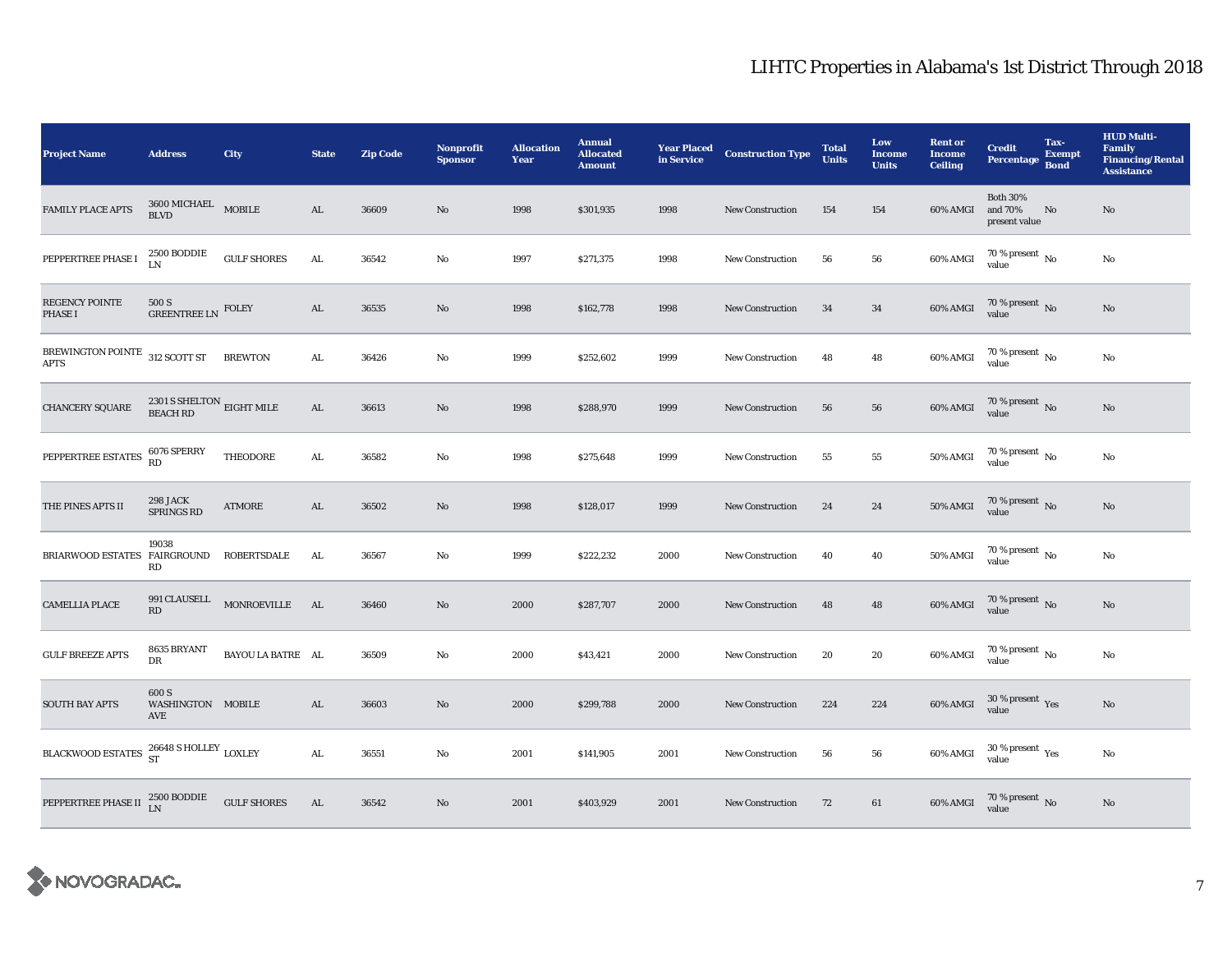| <b>Project Name</b>                                      | <b>Address</b>                                   | <b>City</b>              | <b>State</b> | <b>Zip Code</b> | Nonprofit<br><b>Sponsor</b> | <b>Allocation</b><br><b>Year</b> | <b>Annual</b><br><b>Allocated</b><br><b>Amount</b> | <b>Year Placed<br/>in Service</b> | <b>Construction Type</b> | <b>Total</b><br><b>Units</b> | Low<br><b>Income</b><br><b>Units</b> | <b>Rent or</b><br><b>Income</b><br><b>Ceiling</b> | <b>Credit</b><br>Percentage Bond                                | Tax-<br><b>Exempt</b> | <b>HUD Multi-</b><br>Family<br><b>Financing/Rental</b><br><b>Assistance</b> |
|----------------------------------------------------------|--------------------------------------------------|--------------------------|--------------|-----------------|-----------------------------|----------------------------------|----------------------------------------------------|-----------------------------------|--------------------------|------------------------------|--------------------------------------|---------------------------------------------------|-----------------------------------------------------------------|-----------------------|-----------------------------------------------------------------------------|
| <b>FAMILY PLACE APTS</b>                                 | $3600\rm~MICHAEL$ $_{\rm MOBILE}$<br><b>BLVD</b> |                          | ${\rm AL}$   | 36609           | No                          | 1998                             | \$301,935                                          | 1998                              | New Construction         | 154                          | 154                                  | 60% AMGI                                          | <b>Both 30%</b><br>and 70%<br>present value                     | No                    | $\mathbf{No}$                                                               |
| PEPPERTREE PHASE I                                       | 2500 BODDIE<br>I.N                               | <b>GULF SHORES</b>       | AL           | 36542           | No                          | 1997                             | \$271,375                                          | 1998                              | <b>New Construction</b>  | 56                           | 56                                   | 60% AMGI                                          | $70\,\%$ present $\,$ No value                                  |                       | $\rm No$                                                                    |
| <b>REGENCY POINTE</b><br><b>PHASE I</b>                  | 500 S<br>GREENTREE LN FOLEY                      |                          | ${\rm AL}$   | 36535           | No                          | 1998                             | \$162,778                                          | 1998                              | New Construction         | 34                           | 34                                   | 60% AMGI                                          | $70\,\%$ present $\,$ No value                                  |                       | $\mathbf{No}$                                                               |
| BREWINGTON POINTE $_{\,$ 312 SCOTT ST<br><b>APTS</b>     |                                                  | <b>BREWTON</b>           | ${\bf AL}$   | 36426           | No                          | 1999                             | \$252,602                                          | 1999                              | New Construction         | 48                           | 48                                   | 60% AMGI                                          | $70\,\%$ present $\,$ No value                                  |                       | $\rm No$                                                                    |
| <b>CHANCERY SQUARE</b>                                   | $2301$ S SHELTON $\,$ EIGHT MILE BEACH RD        |                          | AL           | 36613           | No                          | 1998                             | \$288,970                                          | 1999                              | <b>New Construction</b>  | 56                           | 56                                   | 60% AMGI                                          | $70\,\%$ present $\,$ No value                                  |                       | $\mathbf{N}\mathbf{o}$                                                      |
| PEPPERTREE ESTATES                                       | 6076 SPERRY<br>RD                                | THEODORE                 | ${\bf AL}$   | 36582           | No                          | 1998                             | \$275,648                                          | 1999                              | <b>New Construction</b>  | 55                           | ${\bf 55}$                           | 50% AMGI                                          | $70\,\%$ present $\,$ No value                                  |                       | No                                                                          |
| THE PINES APTS II                                        | 298 JACK<br><b>SPRINGS RD</b>                    | <b>ATMORE</b>            | AL           | 36502           | No                          | 1998                             | \$128,017                                          | 1999                              | <b>New Construction</b>  | 24                           | 24                                   | $50\%$ AMGI                                       | $70\,\%$ present $\,$ No value                                  |                       | No                                                                          |
| <b>BRIARWOOD ESTATES</b>                                 | 19038<br>FAIRGROUND<br>RD                        | <b>ROBERTSDALE</b>       | AL           | 36567           | No                          | 1999                             | \$222,232                                          | 2000                              | <b>New Construction</b>  | 40                           | 40                                   | $50\%$ AMGI                                       | $70\,\%$ present $\,$ No value                                  |                       | $\mathbf{N}\mathbf{o}$                                                      |
| <b>CAMELLIA PLACE</b>                                    | RD                                               | 991 CLAUSELL MONROEVILLE | AL           | 36460           | No                          | 2000                             | \$287,707                                          | 2000                              | New Construction         | 48                           | 48                                   | 60% AMGI                                          | $70\,\%$ present $\,$ No value                                  |                       | $\mathbf{No}$                                                               |
| <b>GULF BREEZE APTS</b>                                  | 8635 BRYANT<br>DR                                | BAYOU LA BATRE AL        |              | 36509           | No                          | 2000                             | \$43,421                                           | 2000                              | New Construction         | 20                           | 20                                   | 60% AMGI                                          | $70\,\%$ present $\,$ No value                                  |                       | No                                                                          |
| <b>SOUTH BAY APTS</b>                                    | 600 S<br>WASHINGTON MOBILE<br>AVE                |                          | ${\bf AL}$   | 36603           | $\mathbf{No}$               | 2000                             | \$299,788                                          | 2000                              | New Construction         | 224                          | 224                                  | 60% AMGI                                          | $30\,\%$ present $\,$ Yes value                                 |                       | $\rm\thinspace No$                                                          |
| BLACKWOOD ESTATES $^{26648}_{\text{ST}}$ S HOLLEY LOXLEY |                                                  |                          | ${\rm AL}$   | 36551           | No                          | 2001                             | \$141,905                                          | 2001                              | <b>New Construction</b>  | 56                           | 56                                   | 60% AMGI                                          | $30\,\%$ present $\,$ Yes value                                 |                       | No                                                                          |
| PEPPERTREE PHASE II 2500 BODDIE                          |                                                  | <b>GULF SHORES</b>       | ${\bf AL}$   | 36542           | No                          | 2001                             | \$403,929                                          | 2001                              | <b>New Construction</b>  | 72                           | 61                                   |                                                   | 60% AMGI $\frac{70 \text{ %} \text{ present}}{\text{value}}$ No |                       | No                                                                          |

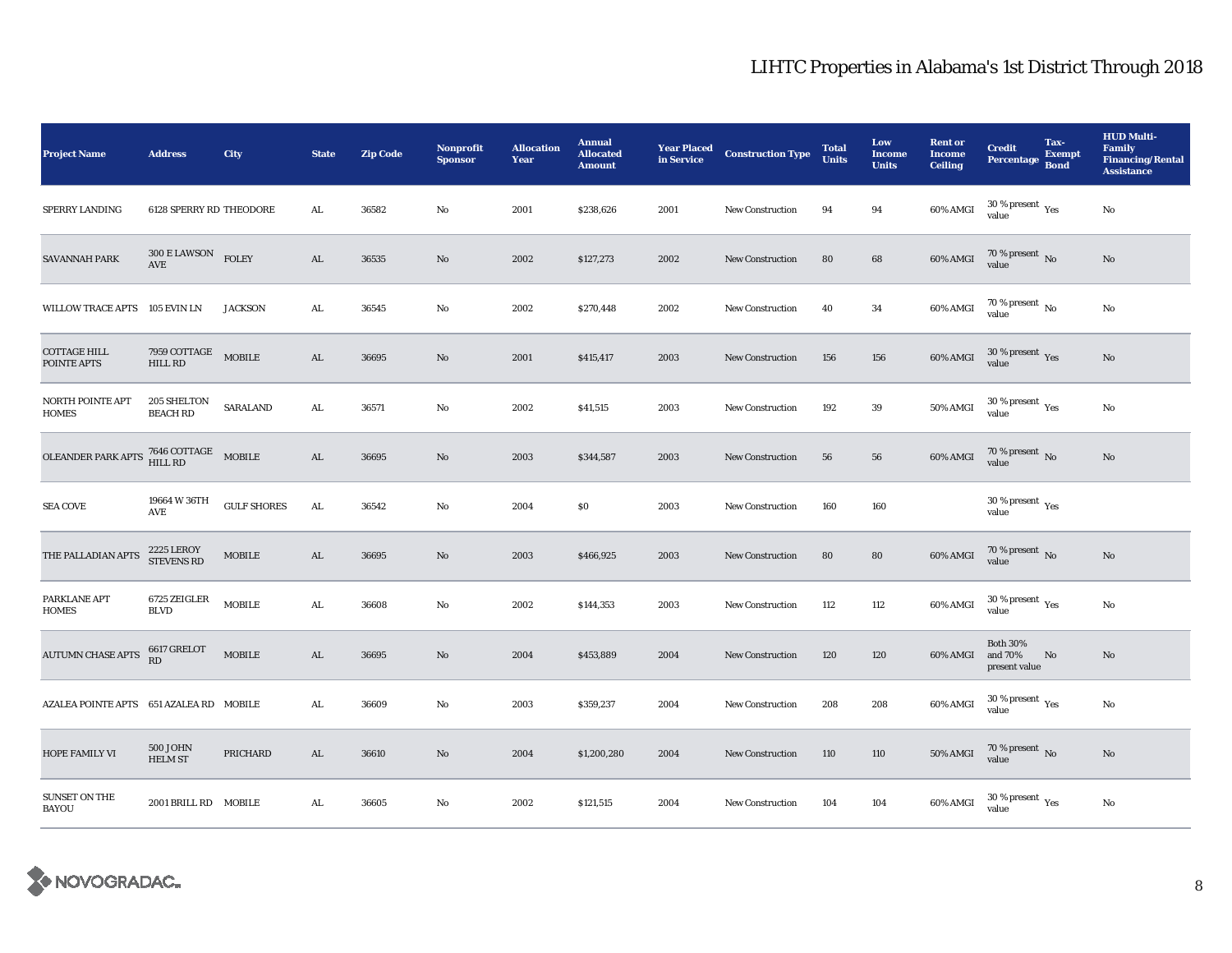| <b>Project Name</b>                                                                     | <b>Address</b>                         | <b>City</b>        | <b>State</b>  | <b>Zip Code</b> | <b>Nonprofit</b><br><b>Sponsor</b> | <b>Allocation</b><br><b>Year</b> | <b>Annual</b><br><b>Allocated</b><br><b>Amount</b> | <b>Year Placed</b><br>in Service | <b>Construction Type</b> | <b>Total</b><br><b>Units</b> | Low<br><b>Income</b><br><b>Units</b> | <b>Rent or</b><br>Income<br><b>Ceiling</b> | <b>Credit</b><br>Percentage Bond            | Tax-<br><b>Exempt</b>  | <b>HUD Multi-</b><br>Family<br><b>Financing/Rental</b><br><b>Assistance</b> |
|-----------------------------------------------------------------------------------------|----------------------------------------|--------------------|---------------|-----------------|------------------------------------|----------------------------------|----------------------------------------------------|----------------------------------|--------------------------|------------------------------|--------------------------------------|--------------------------------------------|---------------------------------------------|------------------------|-----------------------------------------------------------------------------|
| SPERRY LANDING                                                                          | <b>6128 SPERRY RD THEODORE</b>         |                    | AL            | 36582           | No                                 | 2001                             | \$238,626                                          | 2001                             | <b>New Construction</b>  | 94                           | 94                                   | $60\%$ AMGI                                | $30\,\%$ present $\,$ Yes value             |                        | No                                                                          |
| SAVANNAH PARK                                                                           | 300 E LAWSON<br>AVE                    | <b>FOLEY</b>       | AL            | 36535           | No                                 | 2002                             | \$127,273                                          | 2002                             | <b>New Construction</b>  | 80                           | 68                                   | <b>60% AMGI</b>                            | $70\,\%$ present $\,$ No value              |                        | No                                                                          |
| <b>WILLOW TRACE APTS</b>                                                                | 105 EVIN LN                            | <b>JACKSON</b>     | AL            | 36545           | No                                 | 2002                             | \$270,448                                          | 2002                             | <b>New Construction</b>  | 40                           | 34                                   | 60% AMGI                                   | $70\,\%$ present $_{\rm{No}}$               |                        | No                                                                          |
| <b>COTTAGE HILL</b><br>POINTE APTS                                                      | $7959$ COTTAGE $$\sf{MOBILE}$$ HILL RD |                    | $\mathbf{AL}$ | 36695           | $\mathbf{N}\mathbf{o}$             | 2001                             | \$415,417                                          | 2003                             | <b>New Construction</b>  | 156                          | 156                                  | 60% AMGI                                   | $30\,\%$ present $\,$ Yes value             |                        | No                                                                          |
| <b>NORTH POINTE APT</b><br><b>HOMES</b>                                                 | 205 SHELTON<br><b>BEACH RD</b>         | <b>SARALAND</b>    | AL            | 36571           | No                                 | 2002                             | \$41,515                                           | 2003                             | <b>New Construction</b>  | 192                          | 39                                   | 50% AMGI                                   | 30 % present Yes<br>value                   |                        | No                                                                          |
| OLEANDER PARK APTS $\begin{array}{cc} 7646 \text{ COTTAGE} & \text{MOBILE} \end{array}$ |                                        |                    | $\mathbf{AL}$ | 36695           | $\mathbf{No}$                      | 2003                             | \$344,587                                          | 2003                             | <b>New Construction</b>  | 56                           | 56                                   | 60% AMGI                                   | $70\,\%$ present $\,$ No value              |                        | $\mathbf{N}\mathbf{o}$                                                      |
| <b>SEA COVE</b>                                                                         | 19664 W 36TH<br>AVE                    | <b>GULF SHORES</b> | AL.           | 36542           | No                                 | 2004                             | \$0                                                | 2003                             | <b>New Construction</b>  | 160                          | 160                                  |                                            | $30\,\%$ present $\,$ $\rm Yes$<br>value    |                        |                                                                             |
| THE PALLADIAN APTS                                                                      | $2225$ LEROY STEVENS RD                | <b>MOBILE</b>      | ${\rm AL}$    | 36695           | No                                 | 2003                             | \$466,925                                          | 2003                             | <b>New Construction</b>  | 80                           | 80                                   | $60\%$ AMGI                                | 70 % present $\,$ No $\,$<br>value          |                        | No                                                                          |
| PARKLANE APT<br><b>HOMES</b>                                                            | 6725 ZEIGLER<br><b>BLVD</b>            | MOBILE             | ${\bf AL}$    | 36608           | No                                 | 2002                             | \$144,353                                          | 2003                             | <b>New Construction</b>  | 112                          | 112                                  | 60% AMGI                                   | $30\,\%$ present $\,$ Yes value             |                        | No                                                                          |
| <b>AUTUMN CHASE APTS</b>                                                                | 6617 GRELOT<br>RD                      | <b>MOBILE</b>      | AL            | 36695           | No                                 | 2004                             | \$453,889                                          | 2004                             | <b>New Construction</b>  | 120                          | 120                                  | 60% AMGI                                   | <b>Both 30%</b><br>and 70%<br>present value | $\mathbf{N}\mathbf{o}$ | No                                                                          |
| AZALEA POINTE APTS 651 AZALEA RD MOBILE                                                 |                                        |                    | AL            | 36609           | No                                 | 2003                             | \$359,237                                          | 2004                             | <b>New Construction</b>  | 208                          | 208                                  | 60% AMGI                                   | $30$ % present $\,$ $\rm Yes$<br>value      |                        | $\mathbf{No}$                                                               |
| HOPE FAMILY VI                                                                          | <b>500 JOHN</b><br><b>HELM ST</b>      | PRICHARD           | ${\rm AL}$    | 36610           | No                                 | 2004                             | \$1,200,280                                        | 2004                             | <b>New Construction</b>  | 110                          | 110                                  | 50% AMGI                                   | $70\,\%$ present $\,$ No value              |                        | No                                                                          |
| <b>SUNSET ON THE</b><br><b>BAYOU</b>                                                    | 2001 BRILL RD MOBILE                   |                    | AL            | 36605           | No                                 | 2002                             | \$121,515                                          | 2004                             | <b>New Construction</b>  | 104                          | 104                                  | 60% AMGI                                   | $30\,\%$ present $\,\mathrm{Yes}$ value     |                        | No                                                                          |